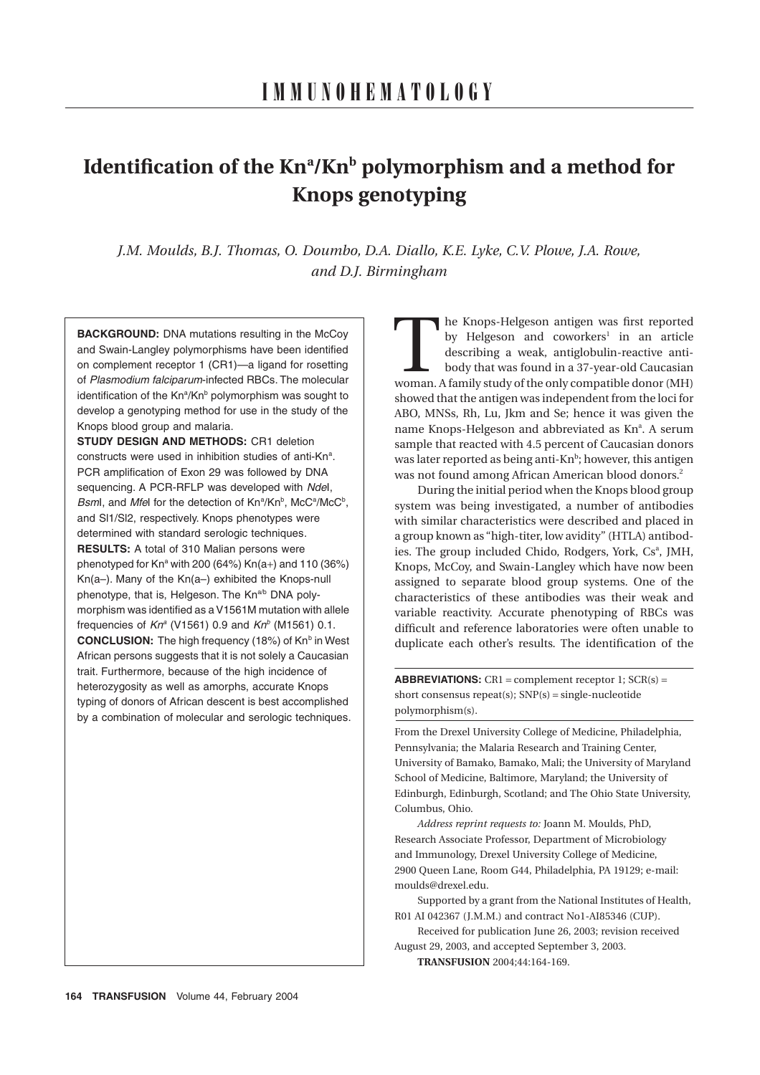# **Identification of the Kn<sup>a</sup>/Kn<sup>b</sup> polymorphism and a method for Knops genotyping**

*J.M. Moulds, B.J. Thomas, O. Doumbo, D.A. Diallo, K.E. Lyke, C.V. Plowe, J.A. Rowe, and D.J. Birmingham*

**BACKGROUND:** DNA mutations resulting in the McCov and Swain-Langley polymorphisms have been identified on complement receptor 1 (CR1)—a ligand for rosetting of *Plasmodium falciparum*-infected RBCs. The molecular identification of the Kn<sup>a</sup>/Kn<sup>b</sup> polymorphism was sought to develop a genotyping method for use in the study of the Knops blood group and malaria.

**STUDY DESIGN AND METHODS:** CR1 deletion constructs were used in inhibition studies of anti-Kn<sup>a</sup>. PCR amplification of Exon 29 was followed by DNA sequencing. A PCR-RFLP was developed with *Nde*I, Bsml, and Mfel for the detection of Kn<sup>a</sup>/Kn<sup>b</sup>, McC<sup>a</sup>/McC<sup>b</sup>, and Sl1/Sl2, respectively. Knops phenotypes were determined with standard serologic techniques. **RESULTS:** A total of 310 Malian persons were phenotyped for  $Kn^a$  with 200 (64%)  $Kn(a+)$  and 110 (36%) Kn(a–). Many of the Kn(a–) exhibited the Knops-null phenotype, that is, Helgeson. The Kn<sup>a/b</sup> DNA polymorphism was identified as a V1561M mutation with allele frequencies of  $Kn^a$  (V1561) 0.9 and  $Kn^b$  (M1561) 0.1. **CONCLUSION:** The high frequency (18%) of Kn<sup>b</sup> in West African persons suggests that it is not solely a Caucasian trait. Furthermore, because of the high incidence of heterozygosity as well as amorphs, accurate Knops typing of donors of African descent is best accomplished by a combination of molecular and serologic techniques.

he Knops-Helgeson antigen was first reported by Helgeson and coworkers<sup>1</sup> in an article describing a weak, antiglobulin-reactive antibody that was found in a 37-year-old Caucasian The Knops-Helgeson antigen was first reported by Helgeson and coworkers<sup>1</sup> in an article describing a weak, antiglobulin-reactive anti-body that was found in a 37-year-old Caucasian woman. A family study of the only compat showed that the antigen was independent from the loci for ABO, MNSs, Rh, Lu, Jkm and Se; hence it was given the name Knops-Helgeson and abbreviated as Knª. A serum sample that reacted with 4.5 percent of Caucasian donors was later reported as being anti-Kn<sup>b</sup>; however, this antigen was not found among African American blood donors.<sup>2</sup>

During the initial period when the Knops blood group system was being investigated, a number of antibodies with similar characteristics were described and placed in a group known as "high-titer, low avidity" (HTLA) antibodies. The group included Chido, Rodgers, York, Cs<sup>a</sup>, JMH, Knops, McCoy, and Swain-Langley which have now been assigned to separate blood group systems. One of the characteristics of these antibodies was their weak and variable reactivity. Accurate phenotyping of RBCs was difficult and reference laboratories were often unable to duplicate each other's results. The identification of the

**ABBREVIATIONS:**  $CR1 = complement receptor 1; SCR(s) =$ short consensus repeat(s);  $SNP(s) = single-nucleotide$ polymorphism(s).

From the Drexel University College of Medicine, Philadelphia, Pennsylvania; the Malaria Research and Training Center, University of Bamako, Bamako, Mali; the University of Maryland School of Medicine, Baltimore, Maryland; the University of Edinburgh, Edinburgh, Scotland; and The Ohio State University, Columbus, Ohio.

*Address reprint requests to:* Joann M. Moulds, PhD, Research Associate Professor, Department of Microbiology and Immunology, Drexel University College of Medicine, 2900 Queen Lane, Room G44, Philadelphia, PA 19129; e-mail: moulds@drexel.edu.

Supported by a grant from the National Institutes of Health, R01 AI 042367 (J.M.M.) and contract No1-AI85346 (CUP).

Received for publication June 26, 2003; revision received August 29, 2003, and accepted September 3, 2003.

**TRANSFUSION** 2004;44:164-169.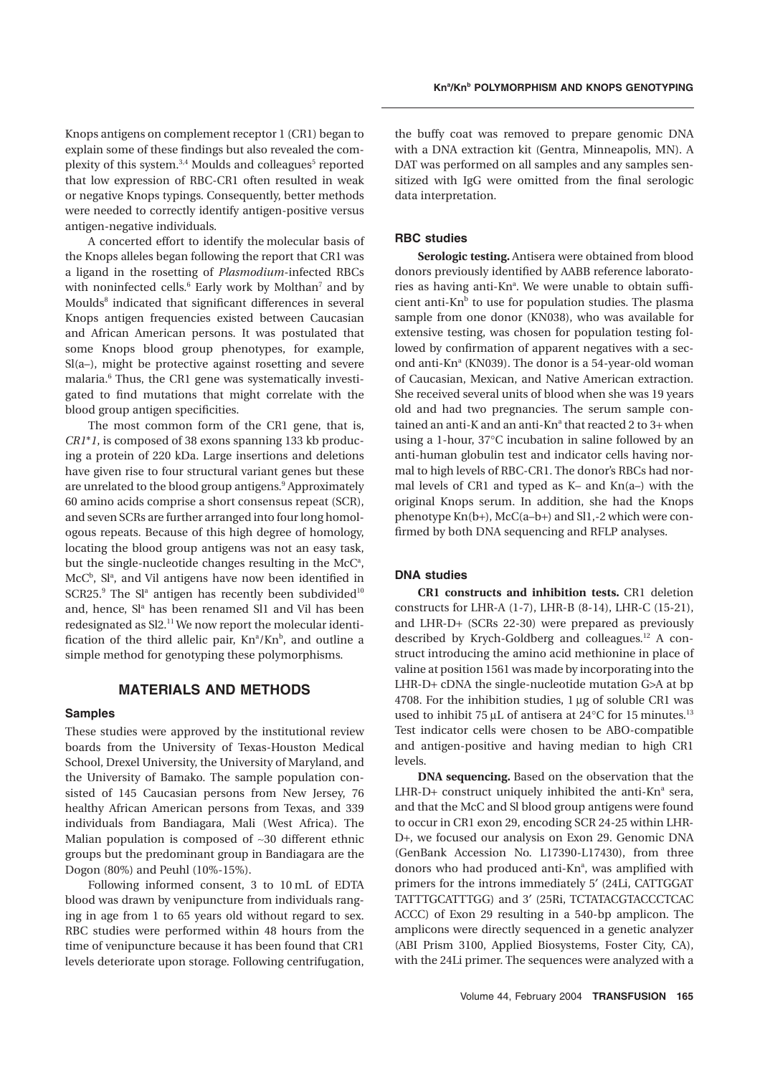Knops antigens on complement receptor 1 (CR1) began to explain some of these findings but also revealed the complexity of this system.<sup>3,4</sup> Moulds and colleagues<sup>5</sup> reported that low expression of RBC-CR1 often resulted in weak or negative Knops typings. Consequently, better methods were needed to correctly identify antigen-positive versus antigen-negative individuals.

A concerted effort to identify the molecular basis of the Knops alleles began following the report that CR1 was a ligand in the rosetting of *Plasmodium*-infected RBCs with noninfected cells.<sup>6</sup> Early work by Molthan<sup>7</sup> and by Moulds<sup>8</sup> indicated that significant differences in several Knops antigen frequencies existed between Caucasian and African American persons. It was postulated that some Knops blood group phenotypes, for example, Sl(a–), might be protective against rosetting and severe malaria.6 Thus, the CR1 gene was systematically investigated to find mutations that might correlate with the blood group antigen specificities.

The most common form of the CR1 gene, that is, *CR1*\**1*, is composed of 38 exons spanning 133 kb producing a protein of 220 kDa. Large insertions and deletions have given rise to four structural variant genes but these are unrelated to the blood group antigens.<sup>9</sup> Approximately 60 amino acids comprise a short consensus repeat (SCR), and seven SCRs are further arranged into four long homologous repeats. Because of this high degree of homology, locating the blood group antigens was not an easy task, but the single-nucleotide changes resulting in the McC<sup>a</sup>, McC<sup>b</sup>, Sl<sup>a</sup>, and Vil antigens have now been identified in  $SCR25$ .<sup>9</sup> The Sl<sup>a</sup> antigen has recently been subdivided<sup>10</sup> and, hence, Sl<sup>a</sup> has been renamed Sl1 and Vil has been redesignated as Sl2.<sup>11</sup> We now report the molecular identification of the third allelic pair, Kn<sup>a</sup>/Kn<sup>b</sup>, and outline a simple method for genotyping these polymorphisms.

# **MATERIALS AND METHODS**

## **Samples**

These studies were approved by the institutional review boards from the University of Texas-Houston Medical School, Drexel University, the University of Maryland, and the University of Bamako. The sample population consisted of 145 Caucasian persons from New Jersey, 76 healthy African American persons from Texas, and 339 individuals from Bandiagara, Mali (West Africa). The Malian population is composed of ~30 different ethnic groups but the predominant group in Bandiagara are the Dogon (80%) and Peuhl (10%-15%).

Following informed consent, 3 to 10 mL of EDTA blood was drawn by venipuncture from individuals ranging in age from 1 to 65 years old without regard to sex. RBC studies were performed within 48 hours from the time of venipuncture because it has been found that CR1 levels deteriorate upon storage. Following centrifugation, the buffy coat was removed to prepare genomic DNA with a DNA extraction kit (Gentra, Minneapolis, MN). A DAT was performed on all samples and any samples sensitized with IgG were omitted from the final serologic data interpretation.

## **RBC studies**

**Serologic testing.** Antisera were obtained from blood donors previously identified by AABB reference laboratories as having anti-Kn<sup>a</sup>. We were unable to obtain sufficient anti- $Kn<sup>b</sup>$  to use for population studies. The plasma sample from one donor (KN038), who was available for extensive testing, was chosen for population testing followed by confirmation of apparent negatives with a second anti-Kn<sup>a</sup> (KN039). The donor is a 54-year-old woman of Caucasian, Mexican, and Native American extraction. She received several units of blood when she was 19 years old and had two pregnancies. The serum sample contained an anti-K and an anti-Kn<sup>a</sup> that reacted 2 to  $3+$  when using a 1-hour, 37∞C incubation in saline followed by an anti-human globulin test and indicator cells having normal to high levels of RBC-CR1. The donor's RBCs had normal levels of CR1 and typed as K– and Kn(a–) with the original Knops serum. In addition, she had the Knops phenotype Kn(b+), McC(a–b+) and Sl1,-2 which were confirmed by both DNA sequencing and RFLP analyses.

# **DNA studies**

**CR1 constructs and inhibition tests.** CR1 deletion constructs for LHR-A (1-7), LHR-B (8-14), LHR-C (15-21), and LHR-D+ (SCRs 22-30) were prepared as previously described by Krych-Goldberg and colleagues.<sup>12</sup> A construct introducing the amino acid methionine in place of valine at position 1561 was made by incorporating into the LHR-D+ cDNA the single-nucleotide mutation G>A at bp 4708. For the inhibition studies,  $1 \mu$ g of soluble CR1 was used to inhibit 75 µL of antisera at 24 $\mathrm{^{\circ}C}$  for 15 minutes.<sup>13</sup> Test indicator cells were chosen to be ABO-compatible and antigen-positive and having median to high CR1 levels.

**DNA sequencing.** Based on the observation that the LHR-D+ construct uniquely inhibited the anti-Kn<sup>a</sup> sera, and that the McC and Sl blood group antigens were found to occur in CR1 exon 29, encoding SCR 24-25 within LHR-D+, we focused our analysis on Exon 29. Genomic DNA (GenBank Accession No. L17390-L17430), from three donors who had produced anti-Kn<sup>a</sup>, was amplified with primers for the introns immediately 5' (24Li, CATTGGAT TATTTGCATTTGG) and 3¢ (25Ri, TCTATACGTACCCTCAC ACCC) of Exon 29 resulting in a 540-bp amplicon. The amplicons were directly sequenced in a genetic analyzer (ABI Prism 3100, Applied Biosystems, Foster City, CA), with the 24Li primer. The sequences were analyzed with a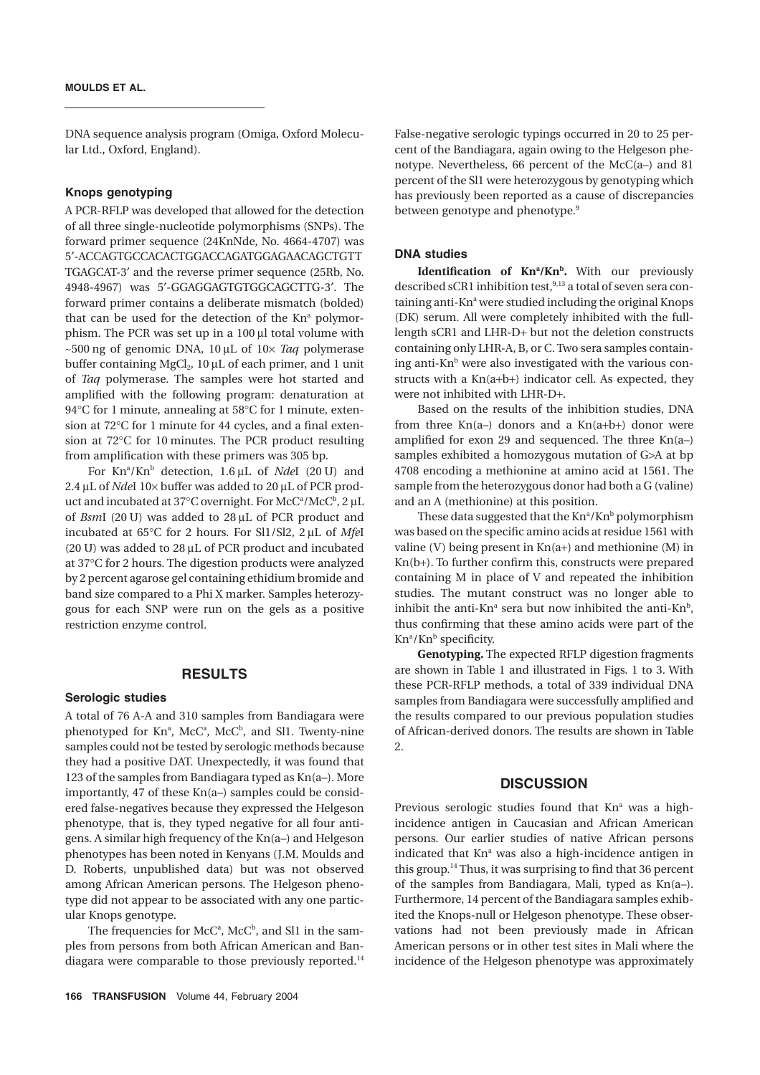DNA sequence analysis program (Omiga, Oxford Molecular Ltd., Oxford, England).

#### **Knops genotyping**

A PCR-RFLP was developed that allowed for the detection of all three single-nucleotide polymorphisms (SNPs). The forward primer sequence (24KnNde, No. 4664-4707) was 5¢-ACCAGTGCCACACTGGACCAGATGGAGAACAGCTGTT TGAGCAT-3¢ and the reverse primer sequence (25Rb, No. 4948-4967) was 5'-GGAGGAGTGTGGCAGCTTG-3'. The forward primer contains a deliberate mismatch (bolded) that can be used for the detection of the Kn<sup>a</sup> polymorphism. The PCR was set up in a 100 µl total volume with  $\sim$ 500 ng of genomic DNA, 10 µL of 10 $\times$  *Taq* polymerase buffer containing  $MgCl<sub>2</sub>$ , 10 µL of each primer, and 1 unit of *Taq* polymerase. The samples were hot started and amplified with the following program: denaturation at 94 ° C for 1 minute, annealing at 58 ° C for 1 minute, extension at 72∞C for 1 minute for 44 cycles, and a final extension at 72∞C for 10 minutes. The PCR product resulting from amplification with these primers was 305 bp.

For Kn<sup>a</sup>/Kn<sup>b</sup> detection, 1.6µL of *Nde*I (20 U) and 2.4 µL of *Nde*I 10× buffer was added to 20 µL of PCR product and incubated at 37°C overnight. For  $\rm{Mc}C^a/McC^b$ , 2  $\rm{\mu}L$ of *BsmI* (20 U) was added to 28 µL of PCR product and incubated at 65∞C for 2 hours. For Sl1/Sl2, 2 mL of *Mfe*I (20 U) was added to 28  $\mu$ L of PCR product and incubated at 37∞C for 2 hours. The digestion products were analyzed by 2 percent agarose gel containing ethidium bromide and band size compared to a Phi X marker. Samples heterozygous for each SNP were run on the gels as a positive restriction enzyme control.

## **RESULTS**

#### **Serologic studies**

A total of 76 A-A and 310 samples from Bandiagara were phenotyped for Knª, McCª, McCʰ, and Sl1. Twenty-nine samples could not be tested by serologic methods because they had a positive DAT. Unexpectedly, it was found that 123 of the samples from Bandiagara typed as Kn(a–). More importantly, 47 of these Kn(a–) samples could be considered false-negatives because they expressed the Helgeson phenotype, that is, they typed negative for all four antigens. A similar high frequency of the Kn(a–) and Helgeson phenotypes has been noted in Kenyans (J.M. Moulds and D. Roberts, unpublished data) but was not observed among African American persons. The Helgeson phenotype did not appear to be associated with any one particular Knops genotype.

The frequencies for  $McC^a$ ,  $McC^b$ , and Sl1 in the samples from persons from both African American and Bandiagara were comparable to those previously reported.<sup>14</sup>

False-negative serologic typings occurred in 20 to 25 percent of the Bandiagara, again owing to the Helgeson phenotype. Nevertheless, 66 percent of the McC(a–) and 81 percent of the Sl1 were heterozygous by genotyping which has previously been reported as a cause of discrepancies between genotype and phenotype.<sup>9</sup>

#### **DNA studies**

**Identification of Kn<sup>a</sup>/Kn<sup>b</sup>.** With our previously described sCR1 inhibition test,  $9,13$  a total of seven sera containing anti-Kn<sup>a</sup> were studied including the original Knops (DK) serum. All were completely inhibited with the fulllength sCR1 and LHR-D+ but not the deletion constructs containing only LHR-A, B, or C. Two sera samples containing anti- $Kn<sup>b</sup>$  were also investigated with the various constructs with a Kn(a+b+) indicator cell. As expected, they were not inhibited with LHR-D+.

Based on the results of the inhibition studies, DNA from three Kn(a–) donors and a Kn(a+b+) donor were amplified for exon 29 and sequenced. The three Kn(a–) samples exhibited a homozygous mutation of G>A at bp 4708 encoding a methionine at amino acid at 1561. The sample from the heterozygous donor had both a G (valine) and an A (methionine) at this position.

These data suggested that the  $\mathrm{Kn}^\mathrm{a}/\mathrm{Kn}^\mathrm{b}$  polymorphism was based on the specific amino acids at residue 1561 with valine (V) being present in  $Kn(a+)$  and methionine (M) in Kn(b+). To further confirm this, constructs were prepared containing M in place of V and repeated the inhibition studies. The mutant construct was no longer able to inhibit the anti-Kn<sup>ª</sup> sera but now inhibited the anti-Kn<sup>b</sup>, thus confirming that these amino acids were part of the Kn<sup>a</sup>/Kn<sup>b</sup> specificity.

**Genotyping.** The expected RFLP digestion fragments are shown in Table 1 and illustrated in Figs. 1 to 3. With these PCR-RFLP methods, a total of 339 individual DNA samples from Bandiagara were successfully amplified and the results compared to our previous population studies of African-derived donors. The results are shown in Table  $\mathcal{P}$ 

## **DISCUSSION**

Previous serologic studies found that  $Kn^a$  was a highincidence antigen in Caucasian and African American persons. Our earlier studies of native African persons indicated that  $Kn^a$  was also a high-incidence antigen in this group.<sup>14</sup> Thus, it was surprising to find that 36 percent of the samples from Bandiagara, Mali, typed as Kn(a–). Furthermore, 14 percent of the Bandiagara samples exhibited the Knops-null or Helgeson phenotype. These observations had not been previously made in African American persons or in other test sites in Mali where the incidence of the Helgeson phenotype was approximately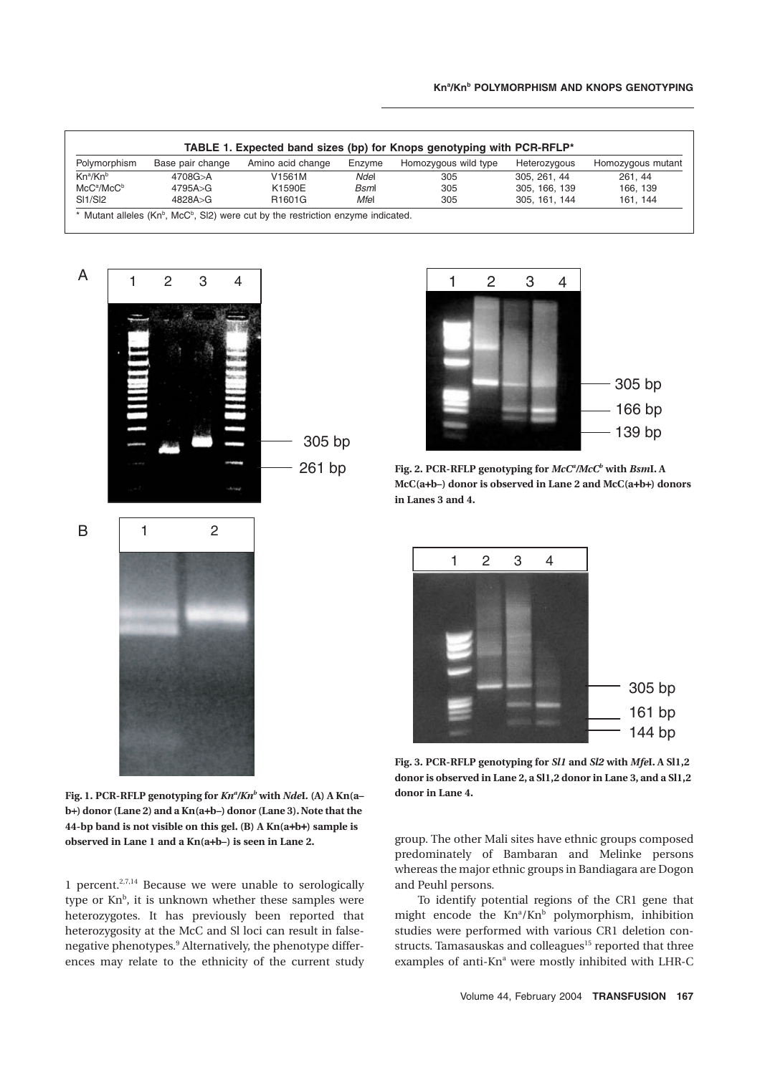| Polymorphism                     | Base pair change | Amino acid change | Enzyme      | Homozygous wild type | Heterozygous  | Homozygous mutant |
|----------------------------------|------------------|-------------------|-------------|----------------------|---------------|-------------------|
| Kn <sup>a</sup> /Kn <sup>b</sup> | 4708G>A          | V1561M            | Ndel        | 305                  | 305, 261, 44  | 261.44            |
| $MC^a/McC^b$                     | 4795A > G        | K1590E            | <b>Bsml</b> | 305                  | 305, 166, 139 | 166, 139          |
| SI1/SI2                          | 4828A > G        | R1601G            | Mfel        | 305                  | 305, 161, 144 | 161, 144          |



1 2

B



Fig. 2. PCR-RFLP genotyping for  $McC^a/McC^b$  with *Bsm*I. A **McC(a**+**b–) donor is observed in Lane 2 and McC(a**+**b**+**) donors in Lanes 3 and 4.**



**Fig. 3. PCR-RFLP genotyping for** *Sl1* **and** *Sl2* **with** *Mfe***I. A Sl1,2 donor is observed in Lane 2, a Sl1,2 donor in Lane 3, and a Sl1,2 donor in Lane 4.**

group. The other Mali sites have ethnic groups composed predominately of Bambaran and Melinke persons whereas the major ethnic groups in Bandiagara are Dogon and Peuhl persons.

To identify potential regions of the CR1 gene that might encode the  $Kn^a/Kn^b$  polymorphism, inhibition studies were performed with various CR1 deletion constructs. Tamasauskas and colleagues<sup>15</sup> reported that three examples of anti-Kn<sup>a</sup> were mostly inhibited with LHR-C

**Fig. 1. PCR-RFLP genotyping for** *Kna /Knb* **with** *Nde***I***.* **(A) A Kn(a– b**+**) donor (Lane 2) and a Kn(a**+**b–) donor (Lane 3). Note that the 44-bp band is not visible on this gel. (B) A Kn(a**+**b**+**) sample is observed in Lane 1 and a Kn(a**+**b–) is seen in Lane 2.**

1 percent.<sup>2,7,14</sup> Because we were unable to serologically type or  $Kn^b$ , it is unknown whether these samples were heterozygotes. It has previously been reported that heterozygosity at the McC and Sl loci can result in falsenegative phenotypes.9 Alternatively, the phenotype differences may relate to the ethnicity of the current study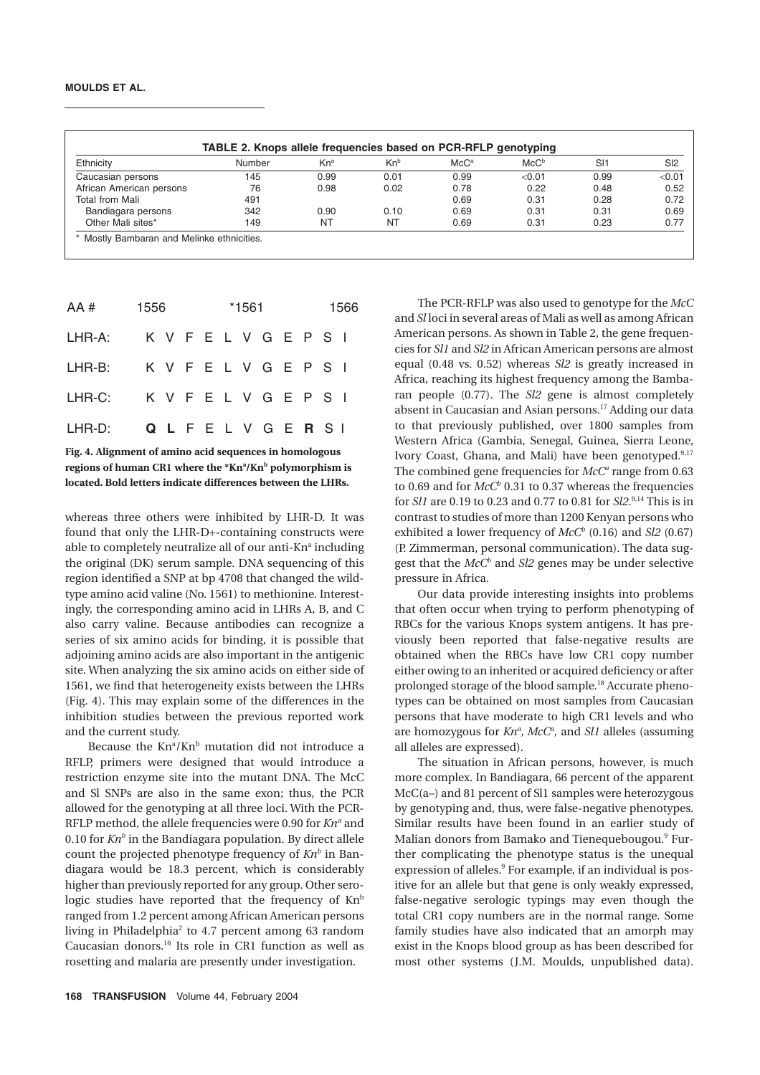| Ethnicity                | Number | $Kn^a$ | $Kn^b$ | McC <sup>a</sup> | $McC^b$ | S11  | S <sub>2</sub> |
|--------------------------|--------|--------|--------|------------------|---------|------|----------------|
| Caucasian persons        | 145    | 0.99   | 0.01   | 0.99             | < 0.01  | 0.99 | < 0.01         |
| African American persons | 76     | 0.98   | 0.02   | 0.78             | 0.22    | 0.48 | 0.52           |
| Total from Mali          | 491    |        |        | 0.69             | 0.31    | 0.28 | 0.72           |
| Bandiagara persons       | 342    | 0.90   | 0.10   | 0.69             | 0.31    | 0.31 | 0.69           |
| Other Mali sites*        | 149    | NT     | NT     | 0.69             | 0.31    | 0.23 | 0.77           |

| AA #                         | 1556                  |  |  | *1561 |  |  |                       |  |  | 1566 |  |  |
|------------------------------|-----------------------|--|--|-------|--|--|-----------------------|--|--|------|--|--|
| LHR-A:                       | K V F E L V G E P S I |  |  |       |  |  |                       |  |  |      |  |  |
| LHR-B: K V F E L V G E P S I |                       |  |  |       |  |  |                       |  |  |      |  |  |
| LHR-C: K V F E L V G E P S I |                       |  |  |       |  |  |                       |  |  |      |  |  |
| LHR-D:                       |                       |  |  |       |  |  | Q L F E L V G E R S I |  |  |      |  |  |

**Fig. 4. Alignment of amino acid sequences in homologous**  regions of human CR1 where the \*Kn<sup>a</sup>/Kn<sup>b</sup> polymorphism is **located. Bold letters indicate differences between the LHRs.**

whereas three others were inhibited by LHR-D. It was found that only the LHR-D+-containing constructs were able to completely neutralize all of our anti-Kn<sup>a</sup> including the original (DK) serum sample. DNA sequencing of this region identified a SNP at bp 4708 that changed the wildtype amino acid valine (No. 1561) to methionine. Interestingly, the corresponding amino acid in LHRs A, B, and C also carry valine. Because antibodies can recognize a series of six amino acids for binding, it is possible that adjoining amino acids are also important in the antigenic site. When analyzing the six amino acids on either side of 1561, we find that heterogeneity exists between the LHRs (Fig. 4). This may explain some of the differences in the inhibition studies between the previous reported work and the current study.

Because the  $Kn^a/Kn^b$  mutation did not introduce a RFLP, primers were designed that would introduce a restriction enzyme site into the mutant DNA. The McC and Sl SNPs are also in the same exon; thus, the PCR allowed for the genotyping at all three loci. With the PCR-RFLP method, the allele frequencies were 0.90 for Kn<sup>a</sup> and 0.10 for  $Kn^b$  in the Bandiagara population. By direct allele count the projected phenotype frequency of  $Kn^b$  in Bandiagara would be 18.3 percent, which is considerably higher than previously reported for any group. Other serologic studies have reported that the frequency of  $Kn^b$ ranged from 1.2 percent among African American persons living in Philadelphia<sup>2</sup> to 4.7 percent among 63 random Caucasian donors.16 Its role in CR1 function as well as rosetting and malaria are presently under investigation.

The PCR-RFLP was also used to genotype for the *McC* and *Sl* loci in several areas of Mali as well as among African American persons. As shown in Table 2, the gene frequencies for *Sl1* and *Sl2* in African American persons are almost equal (0.48 vs. 0.52) whereas *Sl2* is greatly increased in Africa, reaching its highest frequency among the Bambaran people (0.77). The *Sl2* gene is almost completely absent in Caucasian and Asian persons.17 Adding our data to that previously published, over 1800 samples from Western Africa (Gambia, Senegal, Guinea, Sierra Leone, Ivory Coast, Ghana, and Mali) have been genotyped. $9,17$ The combined gene frequencies for *McC<sup>a</sup>* range from 0.63 to 0.69 and for  $McC^b$  0.31 to 0.37 whereas the frequencies for *Sl1* are 0.19 to 0.23 and 0.77 to 0.81 for *Sl2*. 9,14 This is in contrast to studies of more than 1200 Kenyan persons who exhibited a lower frequency of  $McC^b$  (0.16) and *Sl2* (0.67) (P. Zimmerman, personal communication). The data suggest that the *McCb* and *Sl2* genes may be under selective pressure in Africa.

Our data provide interesting insights into problems that often occur when trying to perform phenotyping of RBCs for the various Knops system antigens. It has previously been reported that false-negative results are obtained when the RBCs have low CR1 copy number either owing to an inherited or acquired deficiency or after prolonged storage of the blood sample.18 Accurate phenotypes can be obtained on most samples from Caucasian persons that have moderate to high CR1 levels and who are homozygous for  $Kn^a$ , McC<sup>a</sup>, and Sl1 alleles (assuming all alleles are expressed).

The situation in African persons, however, is much more complex. In Bandiagara, 66 percent of the apparent McC(a–) and 81 percent of Sl1 samples were heterozygous by genotyping and, thus, were false-negative phenotypes. Similar results have been found in an earlier study of Malian donors from Bamako and Tienequebougou.<sup>9</sup> Further complicating the phenotype status is the unequal expression of alleles.<sup>9</sup> For example, if an individual is positive for an allele but that gene is only weakly expressed, false-negative serologic typings may even though the total CR1 copy numbers are in the normal range. Some family studies have also indicated that an amorph may exist in the Knops blood group as has been described for most other systems (J.M. Moulds, unpublished data).